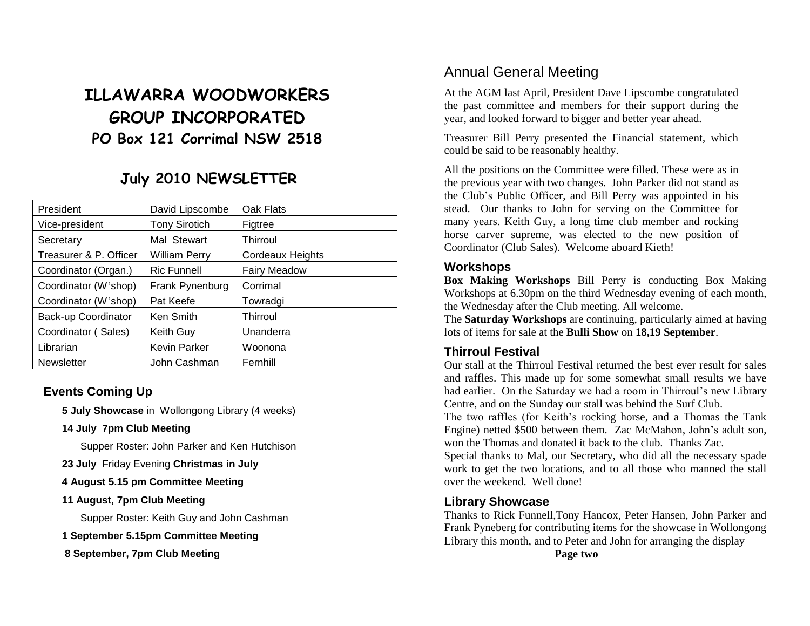# **ILLAWARRA WOODWORKERS GROUP INCORPORATED PO Box 121 Corrimal NSW 2518**

# **July 2010 NEWSLETTER**

| President              | David Lipscombe      | Oak Flats           |  |
|------------------------|----------------------|---------------------|--|
| Vice-president         | <b>Tony Sirotich</b> | Figtree             |  |
| Secretary              | Mal Stewart          | Thirroul            |  |
| Treasurer & P. Officer | <b>William Perry</b> | Cordeaux Heights    |  |
| Coordinator (Organ.)   | <b>Ric Funnell</b>   | <b>Fairy Meadow</b> |  |
| Coordinator (W'shop)   | Frank Pynenburg      | Corrimal            |  |
| Coordinator (W'shop)   | Pat Keefe            | Towradgi            |  |
| Back-up Coordinator    | Ken Smith            | Thirroul            |  |
| Coordinator (Sales)    | Keith Guy            | Unanderra           |  |
| Librarian              | <b>Kevin Parker</b>  | Woonona             |  |
| Newsletter             | John Cashman         | Fernhill            |  |

### **Events Coming Up**

**5 July Showcase** in Wollongong Library (4 weeks)

**14 July 7pm Club Meeting**

Supper Roster: John Parker and Ken Hutchison

**23 July** Friday Evening **Christmas in July**

#### **4 August 5.15 pm Committee Meeting**

#### **11 August, 7pm Club Meeting**

Supper Roster: Keith Guy and John Cashman

**1 September 5.15pm Committee Meeting**

**8 September, 7pm Club Meeting**

### Annual General Meeting

At the AGM last April, President Dave Lipscombe congratulated the past committee and members for their support during the year, and looked forward to bigger and better year ahead.

Treasurer Bill Perry presented the Financial statement, which could be said to be reasonably healthy.

All the positions on the Committee were filled. These were as in the previous year with two changes. John Parker did not stand as the Club's Public Officer, and Bill Perry was appointed in his stead. Our thanks to John for serving on the Committee for many years. Keith Guy, a long time club member and rocking horse carver supreme, was elected to the new position of Coordinator (Club Sales). Welcome aboard Kieth!

#### **Workshops**

**Box Making Workshops** Bill Perry is conducting Box Making Workshops at 6.30pm on the third Wednesday evening of each month, the Wednesday after the Club meeting. All welcome.

The **Saturday Workshops** are continuing, particularly aimed at having lots of items for sale at the **Bulli Show** on **18,19 September**.

#### **Thirroul Festival**

Our stall at the Thirroul Festival returned the best ever result for sales and raffles. This made up for some somewhat small results we have had earlier. On the Saturday we had a room in Thirroul's new Library Centre, and on the Sunday our stall was behind the Surf Club.

The two raffles (for Keith's rocking horse, and a Thomas the Tank Engine) netted \$500 between them. Zac McMahon, John's adult son, won the Thomas and donated it back to the club. Thanks Zac.

Special thanks to Mal, our Secretary, who did all the necessary spade work to get the two locations, and to all those who manned the stall over the weekend. Well done!

#### **Library Showcase**

Thanks to Rick Funnell,Tony Hancox, Peter Hansen, John Parker and Frank Pyneberg for contributing items for the showcase in Wollongong Library this month, and to Peter and John for arranging the display

**Page two**